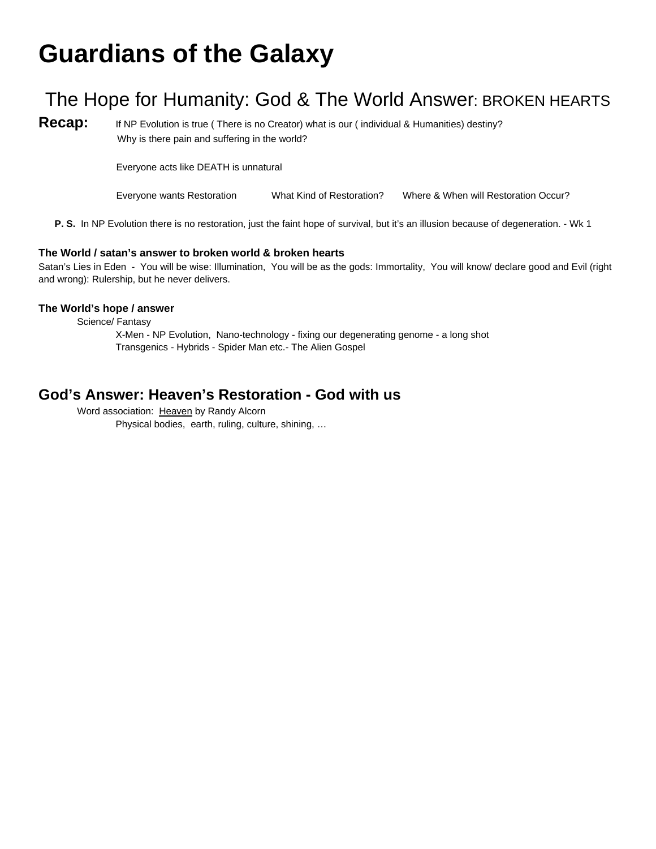# **Guardians of the Galaxy**

## The Hope for Humanity: God & The World Answer: BROKEN HEARTS

**Recap:** If NP Evolution is true (There is no Creator) what is our (individual & Humanities) destiny? Why is there pain and suffering in the world?

Everyone acts like DEATH is unnatural

Everyone wants Restoration What Kind of Restoration? Where & When will Restoration Occur?

**P. S.** In NP Evolution there is no restoration, just the faint hope of survival, but it's an illusion because of degeneration. - Wk 1

#### **The World / satan's answer to broken world & broken hearts**

Satan's Lies in Eden - You will be wise: Illumination, You will be as the gods: Immortality, You will know/ declare good and Evil (right and wrong): Rulership, but he never delivers.

#### **The World's hope / answer**

Science/ Fantasy

X-Men - NP Evolution, Nano-technology - fixing our degenerating genome - a long shot Transgenics - Hybrids - Spider Man etc.- The Alien Gospel

## **God's Answer: Heaven's Restoration - God with us**

Word association: Heaven by Randy Alcorn Physical bodies, earth, ruling, culture, shining, …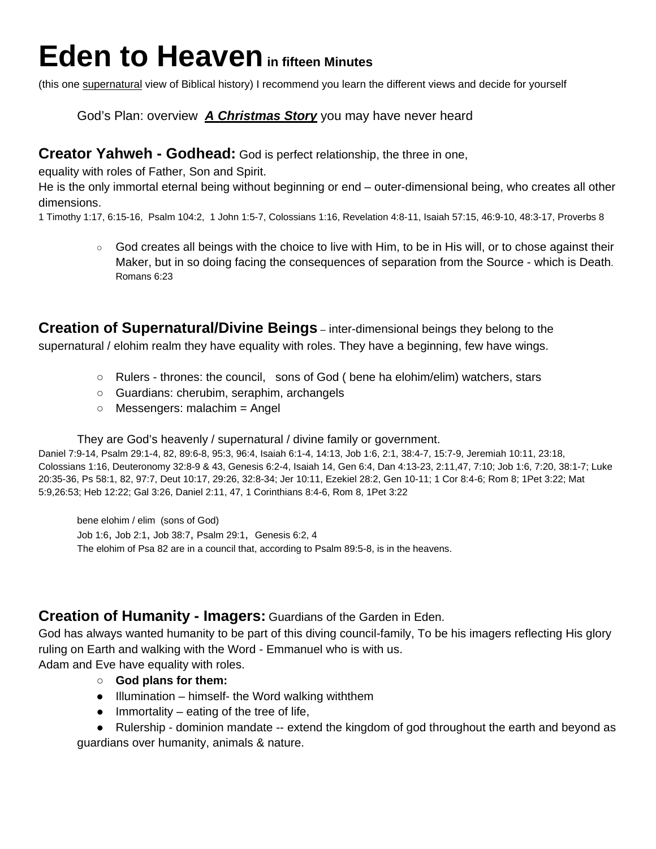# **Eden to Heaven in fifteen Minutes**

(this one supernatural view of Biblical history) I recommend you learn the different views and decide for yourself

God's Plan: overview *A Christmas Story* you may have never heard

#### **Creator Yahweh - Godhead:** God is perfect relationship, the three in one,

equality with roles of Father, Son and Spirit.

He is the only immortal eternal being without beginning or end – outer-dimensional being, who creates all other dimensions.

1 Timothy 1:17, 6:15-16, Psalm 104:2, 1 John 1:5-7, Colossians 1:16, Revelation 4:8-11, Isaiah 57:15, 46:9-10, 48:3-17, Proverbs 8

○ God creates all beings with the choice to live with Him, to be in His will, or to chose against their Maker, but in so doing facing the consequences of separation from the Source - which is Death. Romans 6:23

**Creation of Supernatural/Divine Beings** – inter-dimensional beings they belong to the supernatural / elohim realm they have equality with roles. They have a beginning, few have wings.

- Rulers thrones: the council, sons of God ( bene ha elohim/elim) watchers, stars
- Guardians: cherubim, seraphim, archangels
- Messengers: malachim = Angel

They are God's heavenly / supernatural / divine family or government.

Daniel 7:9-14, Psalm 29:1-4, 82, 89:6-8, 95:3, 96:4, Isaiah 6:1-4, 14:13, Job 1:6, 2:1, 38:4-7, 15:7-9, Jeremiah 10:11, 23:18, Colossians 1:16, Deuteronomy 32:8-9 & 43, Genesis 6:2-4, Isaiah 14, Gen 6:4, Dan 4:13-23, 2:11,47, 7:10; Job 1:6, 7:20, 38:1-7; Luke 20:35-36, Ps 58:1, 82, 97:7, Deut 10:17, 29:26, 32:8-34; Jer 10:11, Ezekiel 28:2, Gen 10-11; 1 Cor 8:4-6; Rom 8; 1Pet 3:22; Mat 5:9,26:53; Heb 12:22; Gal 3:26, Daniel 2:11, 47, 1 Corinthians 8:4-6, Rom 8, 1Pet 3:22

bene elohim / elim (sons of God) Job 1:6, Job 2:1, Job 38:7, Psalm 29:1, Genesis 6:2, 4 The elohim of Psa 82 are in a council that, according to Psalm 89:5-8, is in the heavens.

### **Creation of Humanity - Imagers:** Guardians of the Garden in Eden.

God has always wanted humanity to be part of this diving council-family, To be his imagers reflecting His glory ruling on Earth and walking with the Word - Emmanuel who is with us.

Adam and Eve have equality with roles.

- **God plans for them:**
- Illumination himself- the Word walking withthem
- $\bullet$  Immortality eating of the tree of life,

• Rulership - dominion mandate -- extend the kingdom of god throughout the earth and beyond as guardians over humanity, animals & nature.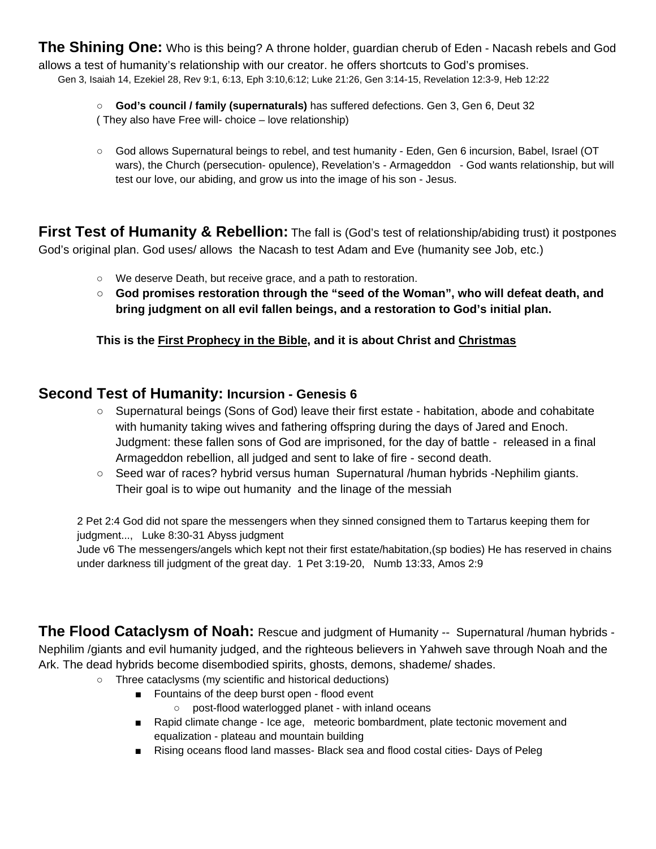**The Shining One:** Who is this being? A throne holder, guardian cherub of Eden - Nacash rebels and God allows a test of humanity's relationship with our creator. he offers shortcuts to God's promises. Gen 3, Isaiah 14, Ezekiel 28, Rev 9:1, 6:13, Eph 3:10,6:12; Luke 21:26, Gen 3:14-15, Revelation 12:3-9, Heb 12:22

○ **God's council / family (supernaturals)** has suffered defections. Gen 3, Gen 6, Deut 32

- ( They also have Free will- choice love relationship)
- God allows Supernatural beings to rebel, and test humanity Eden, Gen 6 incursion, Babel, Israel (OT wars), the Church (persecution- opulence), Revelation's - Armageddon - God wants relationship, but will test our love, our abiding, and grow us into the image of his son - Jesus.

**First Test of Humanity & Rebellion:** The fall is (God's test of relationship/abiding trust) it postpones God's original plan. God uses/ allows the Nacash to test Adam and Eve (humanity see Job, etc.)

- We deserve Death, but receive grace, and a path to restoration.
- **God promises restoration through the "seed of the Woman", who will defeat death, and bring judgment on all evil fallen beings, and a restoration to God's initial plan.**

**This is the First Prophecy in the Bible, and it is about Christ and Christmas**

## **Second Test of Humanity: Incursion - Genesis 6**

- Supernatural beings (Sons of God) leave their first estate habitation, abode and cohabitate with humanity taking wives and fathering offspring during the days of Jared and Enoch. Judgment: these fallen sons of God are imprisoned, for the day of battle - released in a final Armageddon rebellion, all judged and sent to lake of fire - second death.
- Seed war of races? hybrid versus human Supernatural /human hybrids -Nephilim giants. Their goal is to wipe out humanity and the linage of the messiah

2 Pet 2:4 God did not spare the messengers when they sinned consigned them to Tartarus keeping them for judgment..., Luke 8:30-31 Abyss judgment

Jude v6 The messengers/angels which kept not their first estate/habitation,(sp bodies) He has reserved in chains under darkness till judgment of the great day. 1 Pet 3:19-20, Numb 13:33, Amos 2:9

**The Flood Cataclysm of Noah:** Rescue and judgment of Humanity -- Supernatural /human hybrids - Nephilim /giants and evil humanity judged, and the righteous believers in Yahweh save through Noah and the Ark. The dead hybrids become disembodied spirits, ghosts, demons, shademe/ shades.

- Three cataclysms (my scientific and historical deductions)
	- Fountains of the deep burst open flood event
		- post-flood waterlogged planet with inland oceans
	- Rapid climate change Ice age, meteoric bombardment, plate tectonic movement and equalization - plateau and mountain building
	- Rising oceans flood land masses- Black sea and flood costal cities- Days of Peleg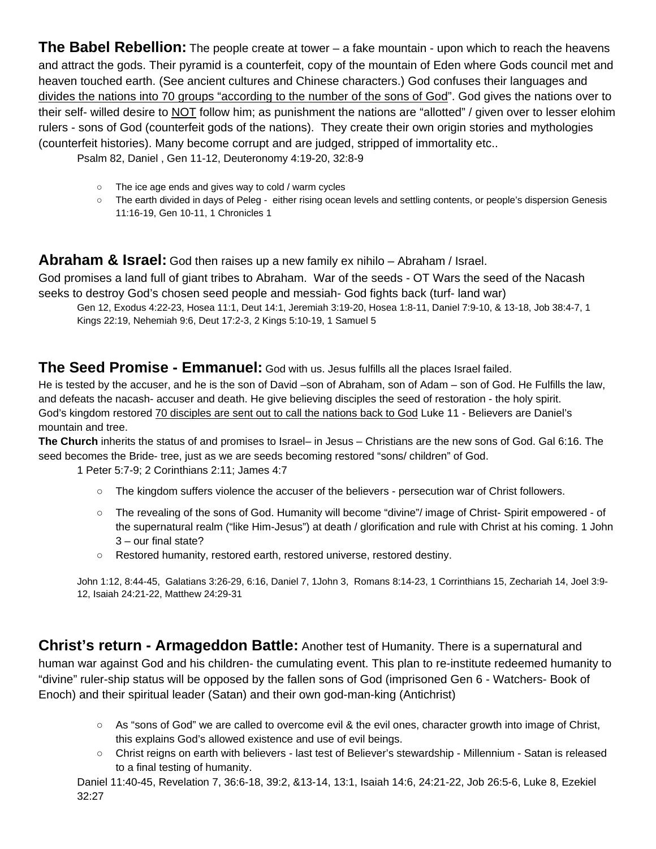**The Babel Rebellion:** The people create at tower – a fake mountain - upon which to reach the heavens and attract the gods. Their pyramid is a counterfeit, copy of the mountain of Eden where Gods council met and heaven touched earth. (See ancient cultures and Chinese characters.) God confuses their languages and divides the nations into 70 groups "according to the number of the sons of God". God gives the nations over to their self- willed desire to NOT follow him; as punishment the nations are "allotted" / given over to lesser elohim rulers - sons of God (counterfeit gods of the nations). They create their own origin stories and mythologies (counterfeit histories). Many become corrupt and are judged, stripped of immortality etc..

Psalm 82, Daniel , Gen 11-12, Deuteronomy 4:19-20, 32:8-9

- The ice age ends and gives way to cold / warm cycles
- The earth divided in days of Peleg either rising ocean levels and settling contents, or people's dispersion Genesis 11:16-19, Gen 10-11, 1 Chronicles 1

#### **Abraham & Israel:** God then raises up a new family ex nihilo – Abraham / Israel.

God promises a land full of giant tribes to Abraham. War of the seeds - OT Wars the seed of the Nacash seeks to destroy God's chosen seed people and messiah- God fights back (turf- land war)

Gen 12, Exodus 4:22-23, Hosea 11:1, Deut 14:1, Jeremiah 3:19-20, Hosea 1:8-11, Daniel 7:9-10, & 13-18, Job 38:4-7, 1 Kings 22:19, Nehemiah 9:6, Deut 17:2-3, 2 Kings 5:10-19, 1 Samuel 5

### **The Seed Promise - Emmanuel:** God with us. Jesus fulfills all the places Israel failed.

He is tested by the accuser, and he is the son of David –son of Abraham, son of Adam – son of God. He Fulfills the law, and defeats the nacash- accuser and death. He give believing disciples the seed of restoration - the holy spirit. God's kingdom restored 70 disciples are sent out to call the nations back to God Luke 11 - Believers are Daniel's mountain and tree.

**The Church** inherits the status of and promises to Israel– in Jesus – Christians are the new sons of God. Gal 6:16. The seed becomes the Bride- tree, just as we are seeds becoming restored "sons/ children" of God.

1 Peter 5:7-9; 2 Corinthians 2:11; James 4:7

- The kingdom suffers violence the accuser of the believers persecution war of Christ followers.
- The revealing of the sons of God. Humanity will become "divine"/ image of Christ- Spirit empowered of the supernatural realm ("like Him-Jesus") at death / glorification and rule with Christ at his coming. 1 John 3 – our final state?
- Restored humanity, restored earth, restored universe, restored destiny.

John 1:12, 8:44-45, Galatians 3:26-29, 6:16, Daniel 7, 1John 3, Romans 8:14-23, 1 Corrinthians 15, Zechariah 14, Joel 3:9- 12, Isaiah 24:21-22, Matthew 24:29-31

**Christ's return - Armageddon Battle:** Another test of Humanity. There is a supernatural and human war against God and his children- the cumulating event. This plan to re-institute redeemed humanity to "divine" ruler-ship status will be opposed by the fallen sons of God (imprisoned Gen 6 - Watchers- Book of Enoch) and their spiritual leader (Satan) and their own god-man-king (Antichrist)

- As "sons of God" we are called to overcome evil & the evil ones, character growth into image of Christ, this explains God's allowed existence and use of evil beings.
- Christ reigns on earth with believers last test of Believer's stewardship Millennium Satan is released to a final testing of humanity.

Daniel 11:40-45, Revelation 7, 36:6-18, 39:2, &13-14, 13:1, Isaiah 14:6, 24:21-22, Job 26:5-6, Luke 8, Ezekiel 32:27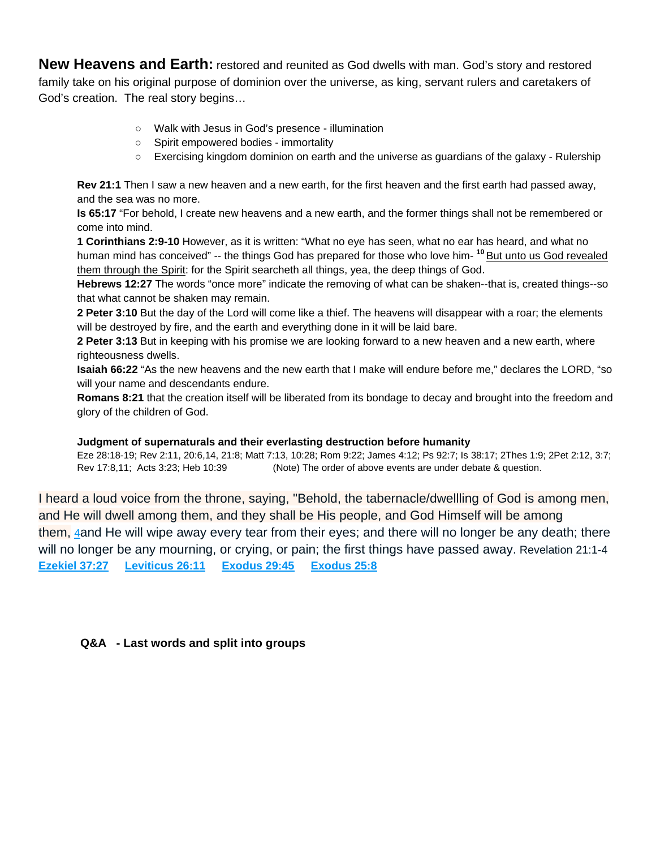**New Heavens and Earth:** restored and reunited as God dwells with man. God's story and restored family take on his original purpose of dominion over the universe, as king, servant rulers and caretakers of God's creation. The real story begins…

- Walk with Jesus in God's presence illumination
- Spirit empowered bodies immortality
- Exercising kingdom dominion on earth and the universe as guardians of the galaxy Rulership

**Rev 21:1** Then I saw a new heaven and a new earth, for the first heaven and the first earth had passed away, and the sea was no more.

**Is 65:17** "For behold, I create new heavens and a new earth, and the former things shall not be remembered or come into mind.

**1 Corinthians 2:9-10** However, as it is written: "What no eye has seen, what no ear has heard, and what no human mind has conceived" -- the things God has prepared for those who love him- **<sup>10</sup>** But unto us God revealed them through the Spirit: for the Spirit searcheth all things, yea, the deep things of God.

**Hebrews 12:27** The words "once more" indicate the removing of what can be shaken--that is, created things--so that what cannot be shaken may remain.

**2 Peter 3:10** But the day of the Lord will come like a thief. The heavens will disappear with a roar; the elements will be destroyed by fire, and the earth and everything done in it will be laid bare.

**2 Peter 3:13** But in keeping with his promise we are looking forward to a new heaven and a new earth, where righteousness dwells.

**Isaiah 66:22** "As the new heavens and the new earth that I make will endure before me," declares the LORD, "so will your name and descendants endure.

**Romans 8:21** that the creation itself will be liberated from its bondage to decay and brought into the freedom and glory of the children of God.

#### **Judgment of supernaturals and their everlasting destruction before humanity**

Eze 28:18-19; Rev 2:11, 20:6,14, 21:8; Matt 7:13, 10:28; Rom 9:22; James 4:12; Ps 92:7; Is 38:17; 2Thes 1:9; 2Pet 2:12, 3:7; Rev 17:8,11; Acts 3:23; Heb 10:39 (Note) The order of above events are under debate & question.

I heard a loud voice from the throne, saying, "Behold, the tabernacle/dwellling of God is among men, and He will dwell among them, and they shall be His people, and God Himself will be among them, [4a](http://biblehub.com/revelation/21-4.htm)nd He will wipe away every tear from their eyes; and there will no longer be any death; there will no longer be any mourning, or crying, or pain; the first things have passed away. Revelation 21:1-4 **[Ezekiel 37:27](http://biblehub.com/ezekiel/37-27.htm) [Leviticus 26:11](http://biblehub.com/leviticus/26-11.htm) [Exodus 29:45](http://biblehub.com/exodus/29-45.htm) [Exodus 25:8](http://biblehub.com/exodus/25-8.htm)**

**Q&A - Last words and split into groups**